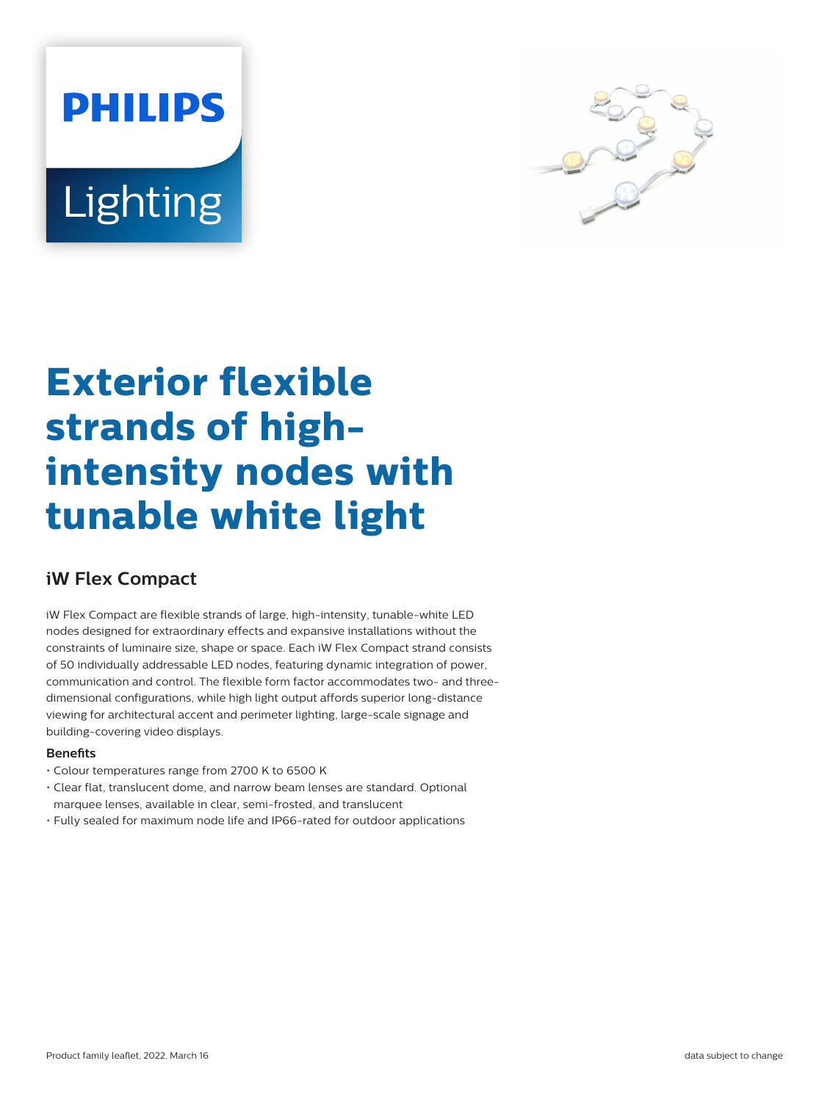# **PHILIPS Lighting**



# **Exterior flexible strands of highintensity nodes with tunable white light**

# **iW Flex Compact**

iW Flex Compact are flexible strands of large, high-intensity, tunable-white LED nodes designed for extraordinary effects and expansive installations without the constraints of luminaire size, shape or space. Each iW Flex Compact strand consists of 50 individually addressable LED nodes, featuring dynamic integration of power, communication and control. The flexible form factor accommodates two- and threedimensional configurations, while high light output affords superior long-distance viewing for architectural accent and perimeter lighting, large-scale signage and building-covering video displays.

## **Benets**

- Colour temperatures range from 2700 K to 6500 K
- Clear flat, translucent dome, and narrow beam lenses are standard. Optional marquee lenses, available in clear, semi-frosted, and translucent
- Fully sealed for maximum node life and IP66-rated for outdoor applications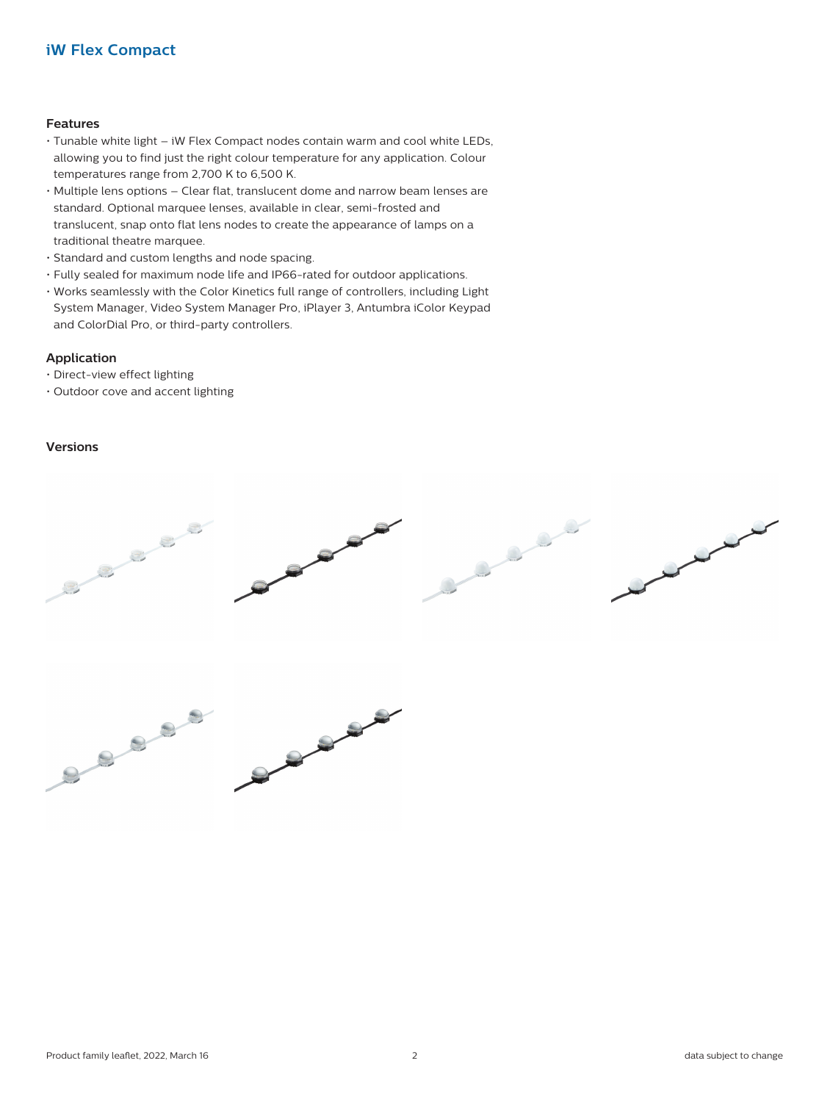# **iW Flex Compact**

#### **Features**

- Tunable white light iW Flex Compact nodes contain warm and cool white LEDs, allowing you to find just the right colour temperature for any application. Colour temperatures range from 2,700 K to 6,500 K.
- Multiple lens options Clear flat, translucent dome and narrow beam lenses are standard. Optional marquee lenses, available in clear, semi-frosted and translucent, snap onto flat lens nodes to create the appearance of lamps on a traditional theatre marquee.
- Standard and custom lengths and node spacing.
- Fully sealed for maximum node life and IP66-rated for outdoor applications.
- Works seamlessly with the Color Kinetics full range of controllers, including Light System Manager, Video System Manager Pro, iPlayer 3, Antumbra iColor Keypad and ColorDial Pro, or third-party controllers.

### **Application**

- Direct-view effect lighting
- Outdoor cove and accent lighting

### **Versions**